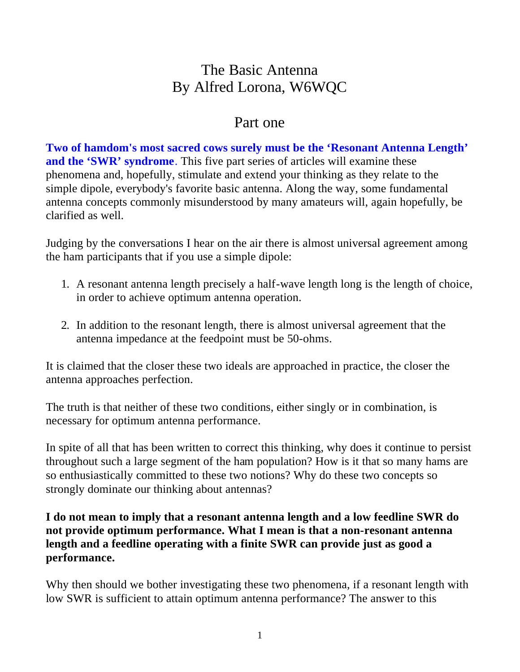# The Basic Antenna By Alfred Lorona, W6WQC

### Part one

**Two of hamdom's most sacred cows surely must be the 'Resonant Antenna Length' and the 'SWR' syndrome**. This five part series of articles will examine these phenomena and, hopefully, stimulate and extend your thinking as they relate to the simple dipole, everybody's favorite basic antenna. Along the way, some fundamental antenna concepts commonly misunderstood by many amateurs will, again hopefully, be clarified as well.

Judging by the conversations I hear on the air there is almost universal agreement among the ham participants that if you use a simple dipole:

- 1. A resonant antenna length precisely a half-wave length long is the length of choice, in order to achieve optimum antenna operation.
- 2. In addition to the resonant length, there is almost universal agreement that the antenna impedance at the feedpoint must be 50-ohms.

It is claimed that the closer these two ideals are approached in practice, the closer the antenna approaches perfection.

The truth is that neither of these two conditions, either singly or in combination, is necessary for optimum antenna performance.

In spite of all that has been written to correct this thinking, why does it continue to persist throughout such a large segment of the ham population? How is it that so many hams are so enthusiastically committed to these two notions? Why do these two concepts so strongly dominate our thinking about antennas?

#### **I do not mean to imply that a resonant antenna length and a low feedline SWR do not provide optimum performance. What I mean is that a non-resonant antenna length and a feedline operating with a finite SWR can provide just as good a performance.**

Why then should we bother investigating these two phenomena, if a resonant length with low SWR is sufficient to attain optimum antenna performance? The answer to this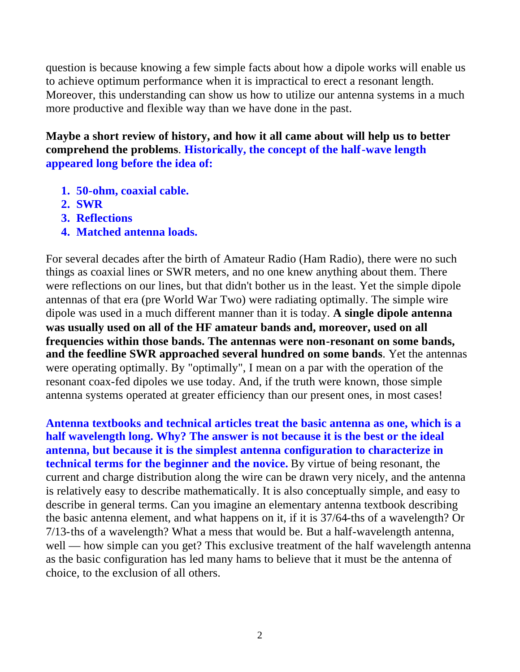question is because knowing a few simple facts about how a dipole works will enable us to achieve optimum performance when it is impractical to erect a resonant length. Moreover, this understanding can show us how to utilize our antenna systems in a much more productive and flexible way than we have done in the past.

**Maybe a short review of history, and how it all came about will help us to better comprehend the problems**. **Historically, the concept of the half-wave length appeared long before the idea of:**

- **1. 50-ohm, coaxial cable.**
- **2. SWR**
- **3. Reflections**
- **4. Matched antenna loads.**

For several decades after the birth of Amateur Radio (Ham Radio), there were no such things as coaxial lines or SWR meters, and no one knew anything about them. There were reflections on our lines, but that didn't bother us in the least. Yet the simple dipole antennas of that era (pre World War Two) were radiating optimally. The simple wire dipole was used in a much different manner than it is today. **A single dipole antenna was usually used on all of the HF amateur bands and, moreover, used on all frequencies within those bands. The antennas were non-resonant on some bands, and the feedline SWR approached several hundred on some bands**. Yet the antennas were operating optimally. By "optimally", I mean on a par with the operation of the resonant coax-fed dipoles we use today. And, if the truth were known, those simple antenna systems operated at greater efficiency than our present ones, in most cases!

**Antenna textbooks and technical articles treat the basic antenna as one, which is a half wavelength long. Why? The answer is not because it is the best or the ideal antenna, but because it is the simplest antenna configuration to characterize in technical terms for the beginner and the novice.** By virtue of being resonant, the current and charge distribution along the wire can be drawn very nicely, and the antenna is relatively easy to describe mathematically. It is also conceptually simple, and easy to describe in general terms. Can you imagine an elementary antenna textbook describing the basic antenna element, and what happens on it, if it is 37/64-ths of a wavelength? Or 7/13-ths of a wavelength? What a mess that would be. But a half-wavelength antenna, well — how simple can you get? This exclusive treatment of the half wavelength antenna as the basic configuration has led many hams to believe that it must be the antenna of choice, to the exclusion of all others.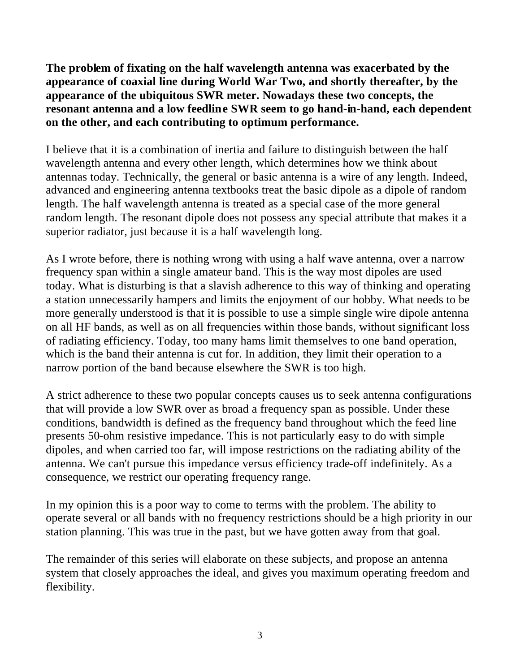**The problem of fixating on the half wavelength antenna was exacerbated by the appearance of coaxial line during World War Two, and shortly thereafter, by the appearance of the ubiquitous SWR meter. Nowadays these two concepts, the resonant antenna and a low feedline SWR seem to go hand-in-hand, each dependent on the other, and each contributing to optimum performance.**

I believe that it is a combination of inertia and failure to distinguish between the half wavelength antenna and every other length, which determines how we think about antennas today. Technically, the general or basic antenna is a wire of any length. Indeed, advanced and engineering antenna textbooks treat the basic dipole as a dipole of random length. The half wavelength antenna is treated as a special case of the more general random length. The resonant dipole does not possess any special attribute that makes it a superior radiator, just because it is a half wavelength long.

As I wrote before, there is nothing wrong with using a half wave antenna, over a narrow frequency span within a single amateur band. This is the way most dipoles are used today. What is disturbing is that a slavish adherence to this way of thinking and operating a station unnecessarily hampers and limits the enjoyment of our hobby. What needs to be more generally understood is that it is possible to use a simple single wire dipole antenna on all HF bands, as well as on all frequencies within those bands, without significant loss of radiating efficiency. Today, too many hams limit themselves to one band operation, which is the band their antenna is cut for. In addition, they limit their operation to a narrow portion of the band because elsewhere the SWR is too high.

A strict adherence to these two popular concepts causes us to seek antenna configurations that will provide a low SWR over as broad a frequency span as possible. Under these conditions, bandwidth is defined as the frequency band throughout which the feed line presents 50-ohm resistive impedance. This is not particularly easy to do with simple dipoles, and when carried too far, will impose restrictions on the radiating ability of the antenna. We can't pursue this impedance versus efficiency trade-off indefinitely. As a consequence, we restrict our operating frequency range.

In my opinion this is a poor way to come to terms with the problem. The ability to operate several or all bands with no frequency restrictions should be a high priority in our station planning. This was true in the past, but we have gotten away from that goal.

The remainder of this series will elaborate on these subjects, and propose an antenna system that closely approaches the ideal, and gives you maximum operating freedom and flexibility.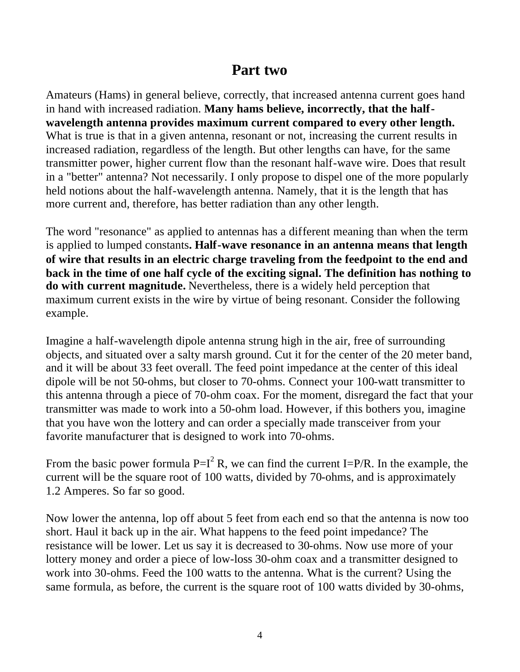### **Part two**

Amateurs (Hams) in general believe, correctly, that increased antenna current goes hand in hand with increased radiation. **Many hams believe, incorrectly, that the halfwavelength antenna provides maximum current compared to every other length.** What is true is that in a given antenna, resonant or not, increasing the current results in increased radiation, regardless of the length. But other lengths can have, for the same transmitter power, higher current flow than the resonant half-wave wire. Does that result in a "better" antenna? Not necessarily. I only propose to dispel one of the more popularly held notions about the half-wavelength antenna. Namely, that it is the length that has more current and, therefore, has better radiation than any other length.

The word "resonance" as applied to antennas has a different meaning than when the term is applied to lumped constants**. Half-wave resonance in an antenna means that length of wire that results in an electric charge traveling from the feedpoint to the end and back in the time of one half cycle of the exciting signal. The definition has nothing to do with current magnitude.** Nevertheless, there is a widely held perception that maximum current exists in the wire by virtue of being resonant. Consider the following example.

Imagine a half-wavelength dipole antenna strung high in the air, free of surrounding objects, and situated over a salty marsh ground. Cut it for the center of the 20 meter band, and it will be about 33 feet overall. The feed point impedance at the center of this ideal dipole will be not 50-ohms, but closer to 70-ohms. Connect your 100-watt transmitter to this antenna through a piece of 70-ohm coax. For the moment, disregard the fact that your transmitter was made to work into a 50-ohm load. However, if this bothers you, imagine that you have won the lottery and can order a specially made transceiver from your favorite manufacturer that is designed to work into 70-ohms.

From the basic power formula  $P=I^2 R$ , we can find the current I=P/R. In the example, the current will be the square root of 100 watts, divided by 70-ohms, and is approximately 1.2 Amperes. So far so good.

Now lower the antenna, lop off about 5 feet from each end so that the antenna is now too short. Haul it back up in the air. What happens to the feed point impedance? The resistance will be lower. Let us say it is decreased to 30-ohms. Now use more of your lottery money and order a piece of low-loss 30-ohm coax and a transmitter designed to work into 30-ohms. Feed the 100 watts to the antenna. What is the current? Using the same formula, as before, the current is the square root of 100 watts divided by 30-ohms,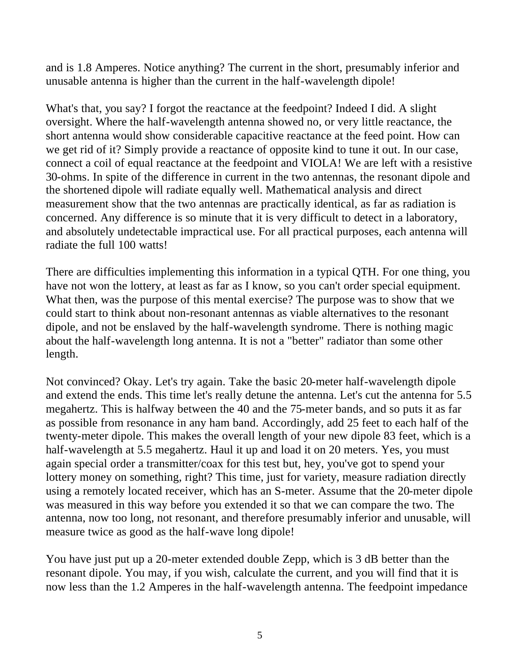and is 1.8 Amperes. Notice anything? The current in the short, presumably inferior and unusable antenna is higher than the current in the half-wavelength dipole!

What's that, you say? I forgot the reactance at the feedpoint? Indeed I did. A slight oversight. Where the half-wavelength antenna showed no, or very little reactance, the short antenna would show considerable capacitive reactance at the feed point. How can we get rid of it? Simply provide a reactance of opposite kind to tune it out. In our case, connect a coil of equal reactance at the feedpoint and VIOLA! We are left with a resistive 30-ohms. In spite of the difference in current in the two antennas, the resonant dipole and the shortened dipole will radiate equally well. Mathematical analysis and direct measurement show that the two antennas are practically identical, as far as radiation is concerned. Any difference is so minute that it is very difficult to detect in a laboratory, and absolutely undetectable impractical use. For all practical purposes, each antenna will radiate the full 100 watts!

There are difficulties implementing this information in a typical QTH. For one thing, you have not won the lottery, at least as far as I know, so you can't order special equipment. What then, was the purpose of this mental exercise? The purpose was to show that we could start to think about non-resonant antennas as viable alternatives to the resonant dipole, and not be enslaved by the half-wavelength syndrome. There is nothing magic about the half-wavelength long antenna. It is not a "better" radiator than some other length.

Not convinced? Okay. Let's try again. Take the basic 20-meter half-wavelength dipole and extend the ends. This time let's really detune the antenna. Let's cut the antenna for 5.5 megahertz. This is halfway between the 40 and the 75-meter bands, and so puts it as far as possible from resonance in any ham band. Accordingly, add 25 feet to each half of the twenty-meter dipole. This makes the overall length of your new dipole 83 feet, which is a half-wavelength at 5.5 megahertz. Haul it up and load it on 20 meters. Yes, you must again special order a transmitter/coax for this test but, hey, you've got to spend your lottery money on something, right? This time, just for variety, measure radiation directly using a remotely located receiver, which has an S-meter. Assume that the 20-meter dipole was measured in this way before you extended it so that we can compare the two. The antenna, now too long, not resonant, and therefore presumably inferior and unusable, will measure twice as good as the half-wave long dipole!

You have just put up a 20-meter extended double Zepp, which is 3 dB better than the resonant dipole. You may, if you wish, calculate the current, and you will find that it is now less than the 1.2 Amperes in the half-wavelength antenna. The feedpoint impedance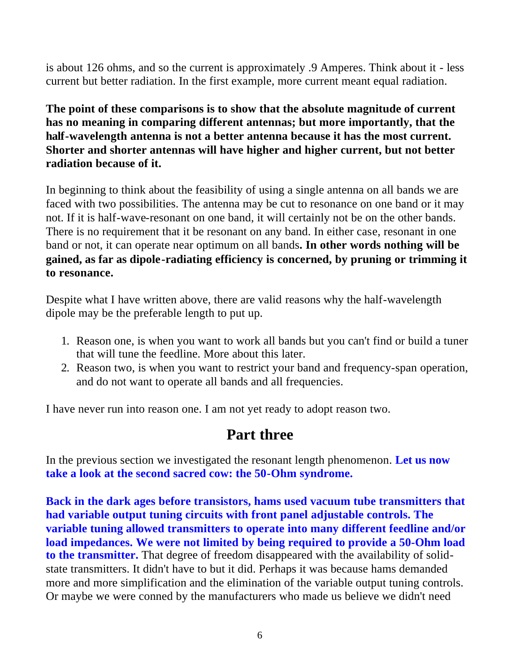is about 126 ohms, and so the current is approximately .9 Amperes. Think about it - less current but better radiation. In the first example, more current meant equal radiation.

**The point of these comparisons is to show that the absolute magnitude of current has no meaning in comparing different antennas; but more importantly, that the half-wavelength antenna is not a better antenna because it has the most current. Shorter and shorter antennas will have higher and higher current, but not better radiation because of it.**

In beginning to think about the feasibility of using a single antenna on all bands we are faced with two possibilities. The antenna may be cut to resonance on one band or it may not. If it is half-wave-resonant on one band, it will certainly not be on the other bands. There is no requirement that it be resonant on any band. In either case, resonant in one band or not, it can operate near optimum on all bands**. In other words nothing will be gained, as far as dipole-radiating efficiency is concerned, by pruning or trimming it to resonance.**

Despite what I have written above, there are valid reasons why the half-wavelength dipole may be the preferable length to put up.

- 1. Reason one, is when you want to work all bands but you can't find or build a tuner that will tune the feedline. More about this later.
- 2. Reason two, is when you want to restrict your band and frequency-span operation, and do not want to operate all bands and all frequencies.

I have never run into reason one. I am not yet ready to adopt reason two.

### **Part three**

In the previous section we investigated the resonant length phenomenon. **Let us now take a look at the second sacred cow: the 50-Ohm syndrome.**

**Back in the dark ages before transistors, hams used vacuum tube transmitters that had variable output tuning circuits with front panel adjustable controls. The variable tuning allowed transmitters to operate into many different feedline and/or load impedances. We were not limited by being required to provide a 50-Ohm load to the transmitter.** That degree of freedom disappeared with the availability of solidstate transmitters. It didn't have to but it did. Perhaps it was because hams demanded more and more simplification and the elimination of the variable output tuning controls. Or maybe we were conned by the manufacturers who made us believe we didn't need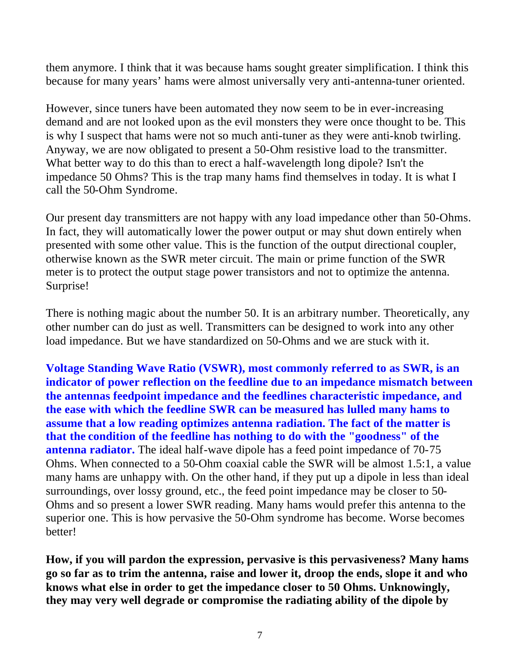them anymore. I think that it was because hams sought greater simplification. I think this because for many years' hams were almost universally very anti-antenna-tuner oriented.

However, since tuners have been automated they now seem to be in ever-increasing demand and are not looked upon as the evil monsters they were once thought to be. This is why I suspect that hams were not so much anti-tuner as they were anti-knob twirling. Anyway, we are now obligated to present a 50-Ohm resistive load to the transmitter. What better way to do this than to erect a half-wavelength long dipole? Isn't the impedance 50 Ohms? This is the trap many hams find themselves in today. It is what I call the 50-Ohm Syndrome.

Our present day transmitters are not happy with any load impedance other than 50-Ohms. In fact, they will automatically lower the power output or may shut down entirely when presented with some other value. This is the function of the output directional coupler, otherwise known as the SWR meter circuit. The main or prime function of the SWR meter is to protect the output stage power transistors and not to optimize the antenna. Surprise!

There is nothing magic about the number 50. It is an arbitrary number. Theoretically, any other number can do just as well. Transmitters can be designed to work into any other load impedance. But we have standardized on 50-Ohms and we are stuck with it.

**Voltage Standing Wave Ratio (VSWR), most commonly referred to as SWR, is an indicator of power reflection on the feedline due to an impedance mismatch between the antennas feedpoint impedance and the feedlines characteristic impedance, and the ease with which the feedline SWR can be measured has lulled many hams to assume that a low reading optimizes antenna radiation. The fact of the matter is that the condition of the feedline has nothing to do with the "goodness" of the antenna radiator.** The ideal half-wave dipole has a feed point impedance of 70-75 Ohms. When connected to a 50-Ohm coaxial cable the SWR will be almost 1.5:1, a value many hams are unhappy with. On the other hand, if they put up a dipole in less than ideal surroundings, over lossy ground, etc., the feed point impedance may be closer to 50- Ohms and so present a lower SWR reading. Many hams would prefer this antenna to the superior one. This is how pervasive the 50-Ohm syndrome has become. Worse becomes better!

**How, if you will pardon the expression, pervasive is this pervasiveness? Many hams go so far as to trim the antenna, raise and lower it, droop the ends, slope it and who knows what else in order to get the impedance closer to 50 Ohms. Unknowingly, they may very well degrade or compromise the radiating ability of the dipole by**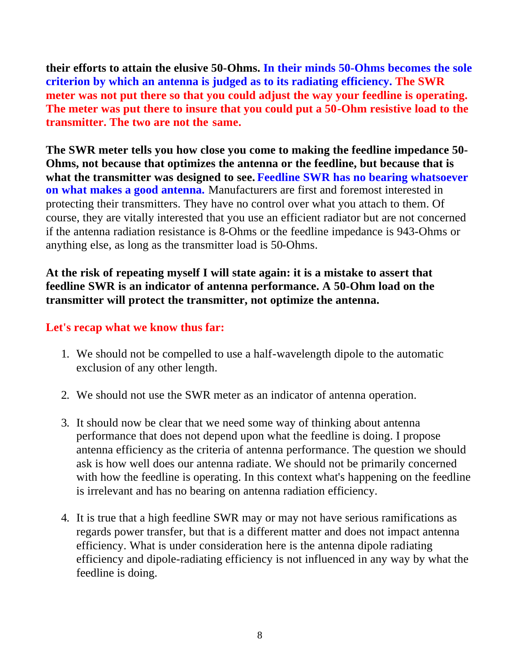**their efforts to attain the elusive 50-Ohms. In their minds 50-Ohms becomes the sole criterion by which an antenna is judged as to its radiating efficiency. The SWR meter was not put there so that you could adjust the way your feedline is operating. The meter was put there to insure that you could put a 50-Ohm resistive load to the transmitter. The two are not the same.**

**The SWR meter tells you how close you come to making the feedline impedance 50- Ohms, not because that optimizes the antenna or the feedline, but because that is what the transmitter was designed to see. Feedline SWR has no bearing whatsoever on what makes a good antenna.** Manufacturers are first and foremost interested in protecting their transmitters. They have no control over what you attach to them. Of course, they are vitally interested that you use an efficient radiator but are not concerned if the antenna radiation resistance is 8-Ohms or the feedline impedance is 943-Ohms or anything else, as long as the transmitter load is 50-Ohms.

**At the risk of repeating myself I will state again: it is a mistake to assert that feedline SWR is an indicator of antenna performance. A 50-Ohm load on the transmitter will protect the transmitter, not optimize the antenna.**

#### **Let's recap what we know thus far:**

- 1. We should not be compelled to use a half-wavelength dipole to the automatic exclusion of any other length.
- 2. We should not use the SWR meter as an indicator of antenna operation.
- 3. It should now be clear that we need some way of thinking about antenna performance that does not depend upon what the feedline is doing. I propose antenna efficiency as the criteria of antenna performance. The question we should ask is how well does our antenna radiate. We should not be primarily concerned with how the feedline is operating. In this context what's happening on the feedline is irrelevant and has no bearing on antenna radiation efficiency.
- 4. It is true that a high feedline SWR may or may not have serious ramifications as regards power transfer, but that is a different matter and does not impact antenna efficiency. What is under consideration here is the antenna dipole radiating efficiency and dipole-radiating efficiency is not influenced in any way by what the feedline is doing.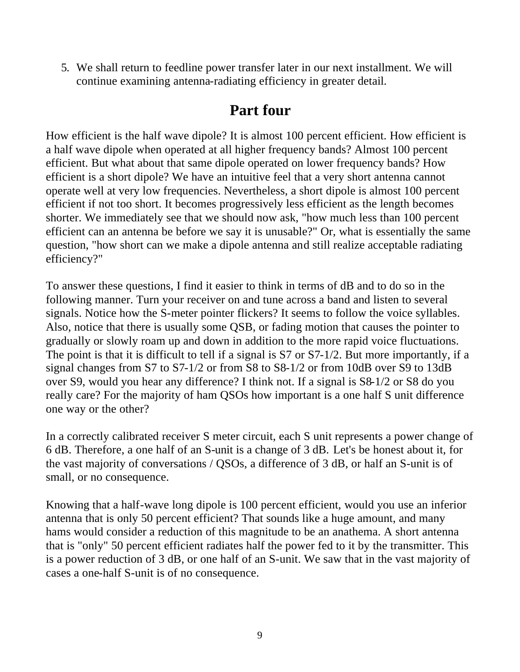5. We shall return to feedline power transfer later in our next installment. We will continue examining antenna-radiating efficiency in greater detail.

# **Part four**

How efficient is the half wave dipole? It is almost 100 percent efficient. How efficient is a half wave dipole when operated at all higher frequency bands? Almost 100 percent efficient. But what about that same dipole operated on lower frequency bands? How efficient is a short dipole? We have an intuitive feel that a very short antenna cannot operate well at very low frequencies. Nevertheless, a short dipole is almost 100 percent efficient if not too short. It becomes progressively less efficient as the length becomes shorter. We immediately see that we should now ask, "how much less than 100 percent efficient can an antenna be before we say it is unusable?" Or, what is essentially the same question, "how short can we make a dipole antenna and still realize acceptable radiating efficiency?"

To answer these questions, I find it easier to think in terms of dB and to do so in the following manner. Turn your receiver on and tune across a band and listen to several signals. Notice how the S-meter pointer flickers? It seems to follow the voice syllables. Also, notice that there is usually some QSB, or fading motion that causes the pointer to gradually or slowly roam up and down in addition to the more rapid voice fluctuations. The point is that it is difficult to tell if a signal is S7 or S7-1/2. But more importantly, if a signal changes from S7 to S7-1/2 or from S8 to S8-1/2 or from 10dB over S9 to 13dB over S9, would you hear any difference? I think not. If a signal is S8-1/2 or S8 do you really care? For the majority of ham QSOs how important is a one half S unit difference one way or the other?

In a correctly calibrated receiver S meter circuit, each S unit represents a power change of 6 dB. Therefore, a one half of an S-unit is a change of 3 dB. Let's be honest about it, for the vast majority of conversations / QSOs, a difference of 3 dB, or half an S-unit is of small, or no consequence.

Knowing that a half-wave long dipole is 100 percent efficient, would you use an inferior antenna that is only 50 percent efficient? That sounds like a huge amount, and many hams would consider a reduction of this magnitude to be an anathema. A short antenna that is "only" 50 percent efficient radiates half the power fed to it by the transmitter. This is a power reduction of 3 dB, or one half of an S-unit. We saw that in the vast majority of cases a one-half S-unit is of no consequence.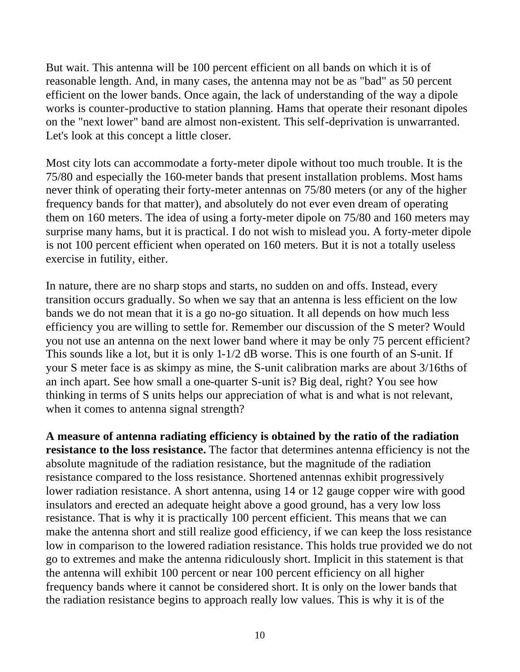But wait. This antenna will be 100 percent efficient on all bands on which it is of reasonable length. And, in many cases, the antenna may not be as "bad" as 50 percent efficient on the lower bands. Once again, the lack of understanding of the way a dipole works is counter-productive to station planning. Hams that operate their resonant dipoles on the "next lower" band are almost non-existent. This self-deprivation is unwarranted. Let's look at this concept a little closer.

Most city lots can accommodate a forty-meter dipole without too much trouble. It is the 75/80 and especially the 160-meter bands that present installation problems. Most hams never think of operating their forty-meter antennas on 75/80 meters (or any of the higher frequency bands for that matter), and absolutely do not ever even dream of operating them on 160 meters. The idea of using a forty-meter dipole on 75/80 and 160 meters may surprise many hams, but it is practical. I do not wish to mislead you. A forty-meter dipole is not 100 percent efficient when operated on 160 meters. But it is not a totally useless exercise in futility, either.

In nature, there are no sharp stops and starts, no sudden on and offs. Instead, every transition occurs gradually. So when we say that an antenna is less efficient on the low bands we do not mean that it is a go no-go situation. It all depends on how much less efficiency you are willing to settle for. Remember our discussion of the S meter? Would you not use an antenna on the next lower band where it may be only 75 percent efficient? This sounds like a lot, but it is only 1-1/2 dB worse. This is one fourth of an S-unit. If your S meter face is as skimpy as mine, the S-unit calibration marks are about 3/16ths of an inch apart. See how small a one-quarter S-unit is? Big deal, right? You see how thinking in terms of S units helps our appreciation of what is and what is not relevant, when it comes to antenna signal strength?

**A measure of antenna radiating efficiency is obtained by the ratio of the radiation resistance to the loss resistance.** The factor that determines antenna efficiency is not the absolute magnitude of the radiation resistance, but the magnitude of the radiation resistance compared to the loss resistance. Shortened antennas exhibit progressively lower radiation resistance. A short antenna, using 14 or 12 gauge copper wire with good insulators and erected an adequate height above a good ground, has a very low loss resistance. That is why it is practically 100 percent efficient. This means that we can make the antenna short and still realize good efficiency, if we can keep the loss resistance low in comparison to the lowered radiation resistance. This holds true provided we do not go to extremes and make the antenna ridiculously short. Implicit in this statement is that the antenna will exhibit 100 percent or near 100 percent efficiency on all higher frequency bands where it cannot be considered short. It is only on the lower bands that the radiation resistance begins to approach really low values. This is why it is of the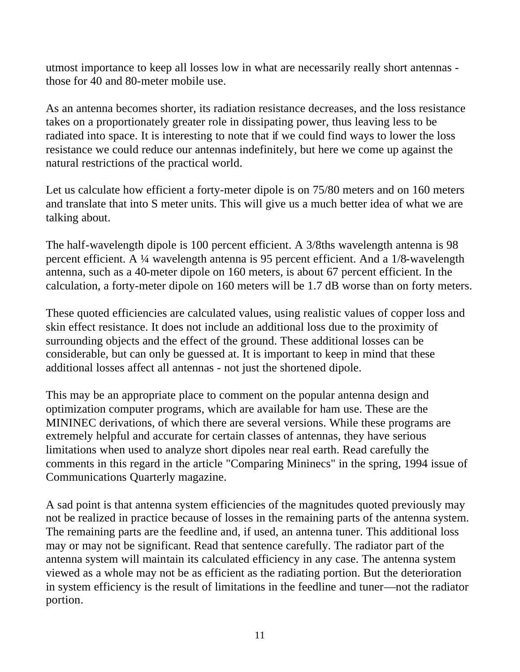utmost importance to keep all losses low in what are necessarily really short antennas those for 40 and 80-meter mobile use.

As an antenna becomes shorter, its radiation resistance decreases, and the loss resistance takes on a proportionately greater role in dissipating power, thus leaving less to be radiated into space. It is interesting to note that if we could find ways to lower the loss resistance we could reduce our antennas indefinitely, but here we come up against the natural restrictions of the practical world.

Let us calculate how efficient a forty-meter dipole is on 75/80 meters and on 160 meters and translate that into S meter units. This will give us a much better idea of what we are talking about.

The half-wavelength dipole is 100 percent efficient. A 3/8ths wavelength antenna is 98 percent efficient. A ¼ wavelength antenna is 95 percent efficient. And a 1/8-wavelength antenna, such as a 40-meter dipole on 160 meters, is about 67 percent efficient. In the calculation, a forty-meter dipole on 160 meters will be 1.7 dB worse than on forty meters.

These quoted efficiencies are calculated values, using realistic values of copper loss and skin effect resistance. It does not include an additional loss due to the proximity of surrounding objects and the effect of the ground. These additional losses can be considerable, but can only be guessed at. It is important to keep in mind that these additional losses affect all antennas - not just the shortened dipole.

This may be an appropriate place to comment on the popular antenna design and optimization computer programs, which are available for ham use. These are the MININEC derivations, of which there are several versions. While these programs are extremely helpful and accurate for certain classes of antennas, they have serious limitations when used to analyze short dipoles near real earth. Read carefully the comments in this regard in the article "Comparing Mininecs" in the spring, 1994 issue of Communications Quarterly magazine.

A sad point is that antenna system efficiencies of the magnitudes quoted previously may not be realized in practice because of losses in the remaining parts of the antenna system. The remaining parts are the feedline and, if used, an antenna tuner. This additional loss may or may not be significant. Read that sentence carefully. The radiator part of the antenna system will maintain its calculated efficiency in any case. The antenna system viewed as a whole may not be as efficient as the radiating portion. But the deterioration in system efficiency is the result of limitations in the feedline and tuner—not the radiator portion.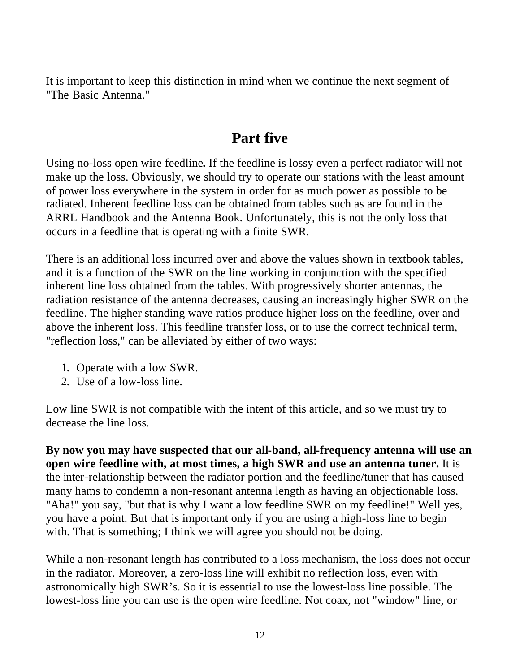It is important to keep this distinction in mind when we continue the next segment of "The Basic Antenna."

# **Part five**

Using no-loss open wire feedline**.** If the feedline is lossy even a perfect radiator will not make up the loss. Obviously, we should try to operate our stations with the least amount of power loss everywhere in the system in order for as much power as possible to be radiated. Inherent feedline loss can be obtained from tables such as are found in the ARRL Handbook and the Antenna Book. Unfortunately, this is not the only loss that occurs in a feedline that is operating with a finite SWR.

There is an additional loss incurred over and above the values shown in textbook tables, and it is a function of the SWR on the line working in conjunction with the specified inherent line loss obtained from the tables. With progressively shorter antennas, the radiation resistance of the antenna decreases, causing an increasingly higher SWR on the feedline. The higher standing wave ratios produce higher loss on the feedline, over and above the inherent loss. This feedline transfer loss, or to use the correct technical term, "reflection loss," can be alleviated by either of two ways:

- 1. Operate with a low SWR.
- 2. Use of a low-loss line.

Low line SWR is not compatible with the intent of this article, and so we must try to decrease the line loss.

**By now you may have suspected that our all-band, all-frequency antenna will use an open wire feedline with, at most times, a high SWR and use an antenna tuner.** It is the inter-relationship between the radiator portion and the feedline/tuner that has caused many hams to condemn a non-resonant antenna length as having an objectionable loss. "Aha!" you say, "but that is why I want a low feedline SWR on my feedline!" Well yes, you have a point. But that is important only if you are using a high-loss line to begin with. That is something; I think we will agree you should not be doing.

While a non-resonant length has contributed to a loss mechanism, the loss does not occur in the radiator. Moreover, a zero-loss line will exhibit no reflection loss, even with astronomically high SWR's. So it is essential to use the lowest-loss line possible. The lowest-loss line you can use is the open wire feedline. Not coax, not "window" line, or